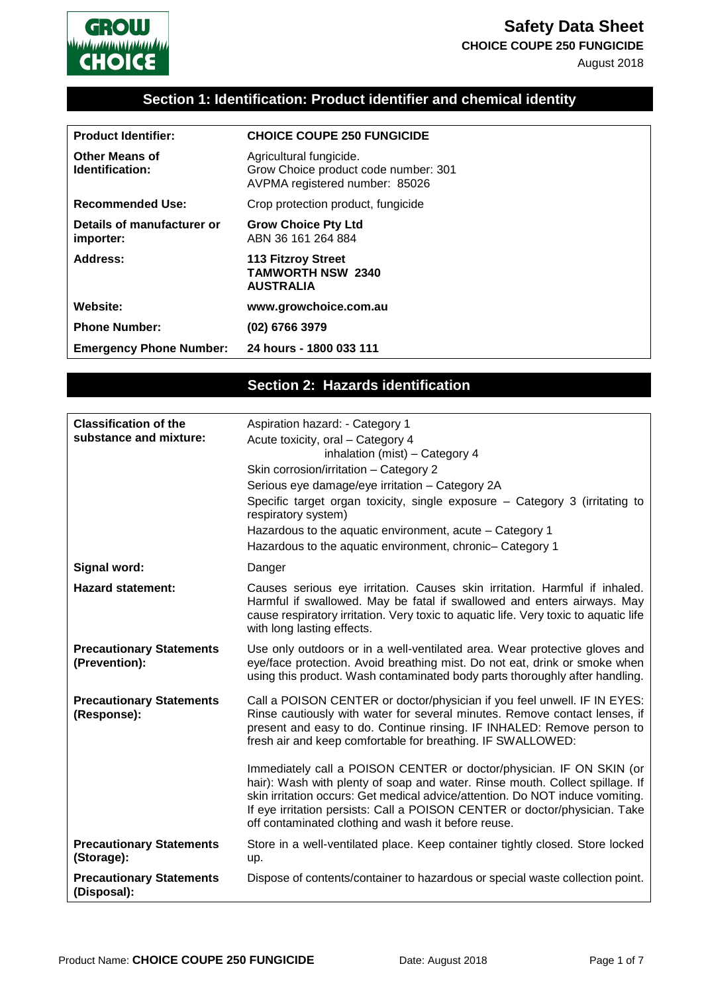

**CHOICE COUPE 250 FUNGICIDE**

August 2018



# **Section 1: Identification: Product identifier and chemical identity**

| <b>Product Identifier:</b>               | <b>CHOICE COUPE 250 FUNGICIDE</b>                                                                 |
|------------------------------------------|---------------------------------------------------------------------------------------------------|
| <b>Other Means of</b><br>Identification: | Agricultural fungicide.<br>Grow Choice product code number: 301<br>AVPMA registered number: 85026 |
| <b>Recommended Use:</b>                  | Crop protection product, fungicide                                                                |
| Details of manufacturer or<br>importer:  | <b>Grow Choice Pty Ltd</b><br>ABN 36 161 264 884                                                  |
| Address:                                 | 113 Fitzroy Street<br><b>TAMWORTH NSW 2340</b><br><b>AUSTRALIA</b>                                |
| Website:                                 | www.growchoice.com.au                                                                             |
| <b>Phone Number:</b>                     | (02) 6766 3979                                                                                    |
| <b>Emergency Phone Number:</b>           | 24 hours - 1800 033 111                                                                           |

# **Section 2: Hazards identification**

| <b>Classification of the</b><br>substance and mixture: | Aspiration hazard: - Category 1<br>Acute toxicity, oral - Category 4<br>inhalation (mist) - Category 4<br>Skin corrosion/irritation - Category 2<br>Serious eye damage/eye irritation - Category 2A<br>Specific target organ toxicity, single exposure – Category 3 (irritating to<br>respiratory system)<br>Hazardous to the aquatic environment, acute - Category 1<br>Hazardous to the aquatic environment, chronic- Category 1 |
|--------------------------------------------------------|------------------------------------------------------------------------------------------------------------------------------------------------------------------------------------------------------------------------------------------------------------------------------------------------------------------------------------------------------------------------------------------------------------------------------------|
| Signal word:                                           | Danger                                                                                                                                                                                                                                                                                                                                                                                                                             |
| <b>Hazard statement:</b>                               | Causes serious eye irritation. Causes skin irritation. Harmful if inhaled.<br>Harmful if swallowed. May be fatal if swallowed and enters airways. May<br>cause respiratory irritation. Very toxic to aquatic life. Very toxic to aquatic life<br>with long lasting effects.                                                                                                                                                        |
| <b>Precautionary Statements</b><br>(Prevention):       | Use only outdoors or in a well-ventilated area. Wear protective gloves and<br>eye/face protection. Avoid breathing mist. Do not eat, drink or smoke when<br>using this product. Wash contaminated body parts thoroughly after handling.                                                                                                                                                                                            |
| <b>Precautionary Statements</b><br>(Response):         | Call a POISON CENTER or doctor/physician if you feel unwell. IF IN EYES:<br>Rinse cautiously with water for several minutes. Remove contact lenses, if<br>present and easy to do. Continue rinsing. IF INHALED: Remove person to<br>fresh air and keep comfortable for breathing. IF SWALLOWED:                                                                                                                                    |
|                                                        | Immediately call a POISON CENTER or doctor/physician. IF ON SKIN (or<br>hair): Wash with plenty of soap and water. Rinse mouth. Collect spillage. If<br>skin irritation occurs: Get medical advice/attention. Do NOT induce vomiting.<br>If eye irritation persists: Call a POISON CENTER or doctor/physician. Take<br>off contaminated clothing and wash it before reuse.                                                         |
| <b>Precautionary Statements</b><br>(Storage):          | Store in a well-ventilated place. Keep container tightly closed. Store locked<br>up.                                                                                                                                                                                                                                                                                                                                               |
| <b>Precautionary Statements</b><br>(Disposal):         | Dispose of contents/container to hazardous or special waste collection point.                                                                                                                                                                                                                                                                                                                                                      |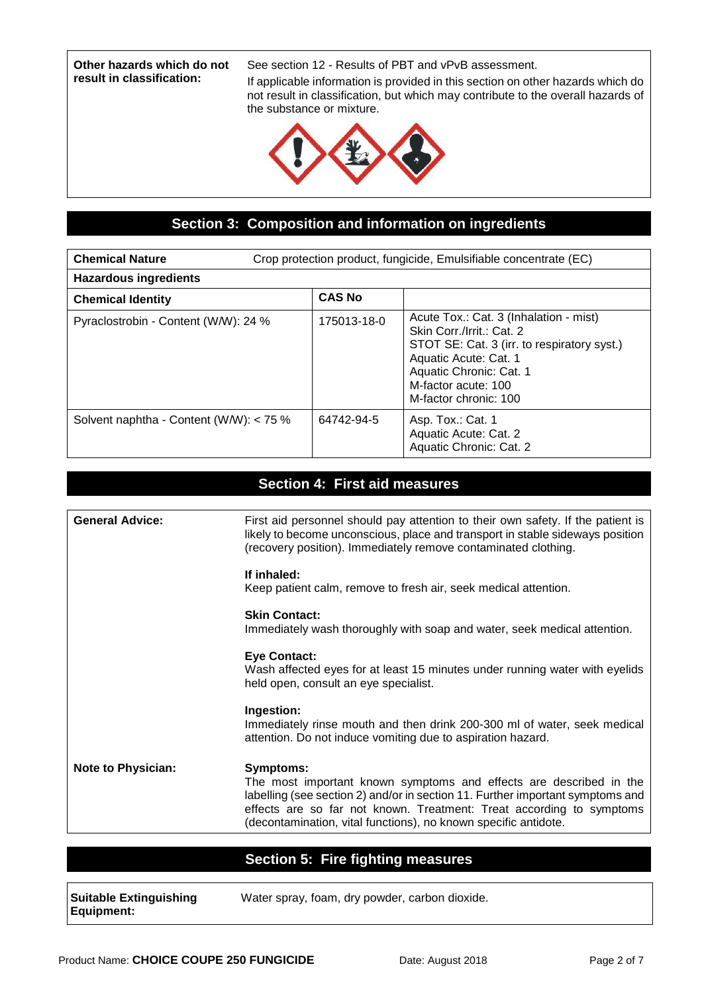**Other hazards which do not result in classification:**

See section 12 - Results of PBT and vPvB assessment.

If applicable information is provided in this section on other hazards which do not result in classification, but which may contribute to the overall hazards of the substance or mixture.



### **Section 3: Composition and information on ingredients**

| <b>Chemical Nature</b>                  | Crop protection product, fungicide, Emulsifiable concentrate (EC) |                                                                                                                                                                                                                        |
|-----------------------------------------|-------------------------------------------------------------------|------------------------------------------------------------------------------------------------------------------------------------------------------------------------------------------------------------------------|
| <b>Hazardous ingredients</b>            |                                                                   |                                                                                                                                                                                                                        |
| <b>Chemical Identity</b>                | <b>CAS No</b>                                                     |                                                                                                                                                                                                                        |
| Pyraclostrobin - Content (W/W): 24 %    | 175013-18-0                                                       | Acute Tox.: Cat. 3 (Inhalation - mist)<br>Skin Corr./Irrit.: Cat. 2<br>STOT SE: Cat. 3 (irr. to respiratory syst.)<br>Aquatic Acute: Cat. 1<br>Aquatic Chronic: Cat. 1<br>M-factor acute: 100<br>M-factor chronic: 100 |
| Solvent naphtha - Content (W/W): < 75 % | 64742-94-5                                                        | Asp. Tox.: Cat. 1<br>Aquatic Acute: Cat. 2<br>Aquatic Chronic: Cat. 2                                                                                                                                                  |

#### **Section 4: First aid measures**

| <b>General Advice:</b>    | First aid personnel should pay attention to their own safety. If the patient is<br>likely to become unconscious, place and transport in stable sideways position<br>(recovery position). Immediately remove contaminated clothing.                                                                                  |
|---------------------------|---------------------------------------------------------------------------------------------------------------------------------------------------------------------------------------------------------------------------------------------------------------------------------------------------------------------|
|                           | If inhaled:<br>Keep patient calm, remove to fresh air, seek medical attention.                                                                                                                                                                                                                                      |
|                           | <b>Skin Contact:</b><br>Immediately wash thoroughly with soap and water, seek medical attention.                                                                                                                                                                                                                    |
|                           | <b>Eye Contact:</b><br>Wash affected eyes for at least 15 minutes under running water with eyelids<br>held open, consult an eye specialist.                                                                                                                                                                         |
|                           | Ingestion:<br>Immediately rinse mouth and then drink 200-300 ml of water, seek medical<br>attention. Do not induce vomiting due to aspiration hazard.                                                                                                                                                               |
| <b>Note to Physician:</b> | <b>Symptoms:</b><br>The most important known symptoms and effects are described in the<br>labelling (see section 2) and/or in section 11. Further important symptoms and<br>effects are so far not known. Treatment: Treat according to symptoms<br>(decontamination, vital functions), no known specific antidote. |

# **Section 5: Fire fighting measures**

| <b>Suitable Extinguishing</b> | Water spray, foam, dry powder, carbon dioxide. |
|-------------------------------|------------------------------------------------|
| <b>Equipment:</b>             |                                                |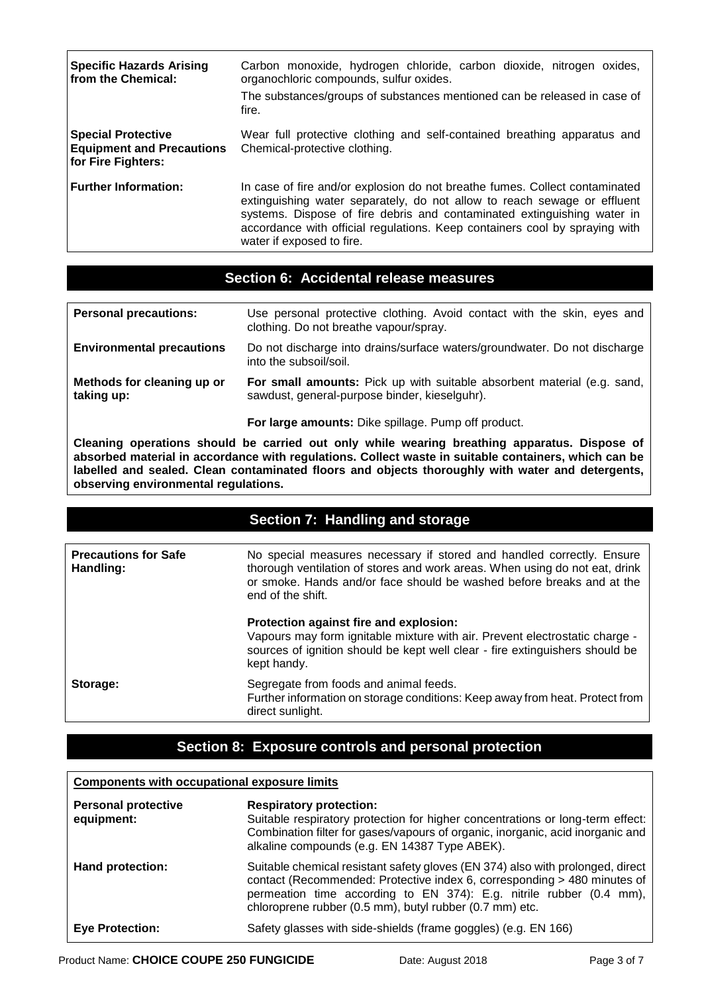| <b>Specific Hazards Arising</b><br>from the Chemical:                        | Carbon monoxide, hydrogen chloride, carbon dioxide, nitrogen oxides,<br>organochloric compounds, sulfur oxides.<br>The substances/groups of substances mentioned can be released in case of<br>fire.                                                                                                                                           |
|------------------------------------------------------------------------------|------------------------------------------------------------------------------------------------------------------------------------------------------------------------------------------------------------------------------------------------------------------------------------------------------------------------------------------------|
| Special Protective<br><b>Equipment and Precautions</b><br>for Fire Fighters: | Wear full protective clothing and self-contained breathing apparatus and<br>Chemical-protective clothing.                                                                                                                                                                                                                                      |
| <b>Further Information:</b>                                                  | In case of fire and/or explosion do not breathe fumes. Collect contaminated<br>extinguishing water separately, do not allow to reach sewage or effluent<br>systems. Dispose of fire debris and contaminated extinguishing water in<br>accordance with official regulations. Keep containers cool by spraying with<br>water if exposed to fire. |

#### **Section 6: Accidental release measures**

| <b>Personal precautions:</b>             | Use personal protective clothing. Avoid contact with the skin, eyes and<br>clothing. Do not breathe vapour/spray.        |  |
|------------------------------------------|--------------------------------------------------------------------------------------------------------------------------|--|
| <b>Environmental precautions</b>         | Do not discharge into drains/surface waters/groundwater. Do not discharge<br>into the subsoil/soil.                      |  |
| Methods for cleaning up or<br>taking up: | For small amounts: Pick up with suitable absorbent material (e.g. sand,<br>sawdust, general-purpose binder, kieselguhr). |  |
|                                          | For large amounts: Dike spillage. Pump off product.                                                                      |  |

**Cleaning operations should be carried out only while wearing breathing apparatus. Dispose of absorbed material in accordance with regulations. Collect waste in suitable containers, which can be labelled and sealed. Clean contaminated floors and objects thoroughly with water and detergents, observing environmental regulations.**

### **Section 7: Handling and storage**

| <b>Precautions for Safe</b><br>Handling: | No special measures necessary if stored and handled correctly. Ensure<br>thorough ventilation of stores and work areas. When using do not eat, drink<br>or smoke. Hands and/or face should be washed before breaks and at the<br>end of the shift. |
|------------------------------------------|----------------------------------------------------------------------------------------------------------------------------------------------------------------------------------------------------------------------------------------------------|
|                                          | Protection against fire and explosion:<br>Vapours may form ignitable mixture with air. Prevent electrostatic charge -<br>sources of ignition should be kept well clear - fire extinguishers should be<br>kept handy.                               |
| Storage:                                 | Segregate from foods and animal feeds.<br>Further information on storage conditions: Keep away from heat. Protect from<br>direct sunlight.                                                                                                         |

# **Section 8: Exposure controls and personal protection**

#### **Components with occupational exposure limits**

| <b>Personal protective</b><br>equipment: | <b>Respiratory protection:</b><br>Suitable respiratory protection for higher concentrations or long-term effect:<br>Combination filter for gases/vapours of organic, inorganic, acid inorganic and<br>alkaline compounds (e.g. EN 14387 Type ABEK).                                          |
|------------------------------------------|----------------------------------------------------------------------------------------------------------------------------------------------------------------------------------------------------------------------------------------------------------------------------------------------|
| Hand protection:                         | Suitable chemical resistant safety gloves (EN 374) also with prolonged, direct<br>contact (Recommended: Protective index 6, corresponding > 480 minutes of<br>permeation time according to EN 374): E.g. nitrile rubber (0.4 mm),<br>chloroprene rubber (0.5 mm), butyl rubber (0.7 mm) etc. |
| <b>Eye Protection:</b>                   | Safety glasses with side-shields (frame goggles) (e.g. EN 166)                                                                                                                                                                                                                               |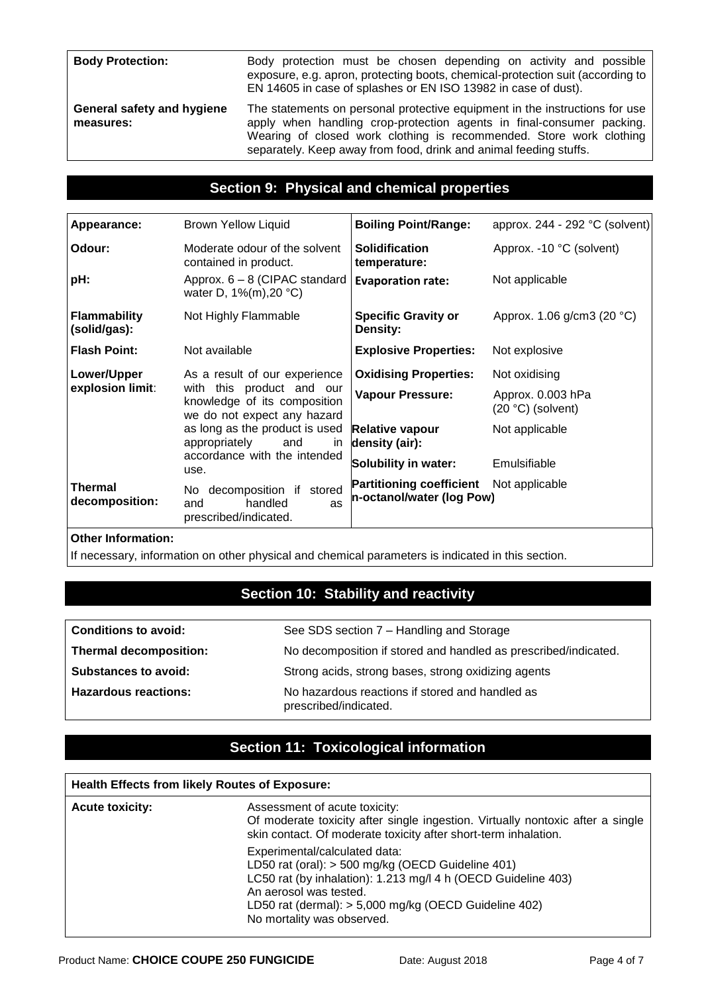**Body Protection:** Body protection must be chosen depending on activity and possible exposure, e.g. apron, protecting boots, chemical-protection suit (according to EN 14605 in case of splashes or EN ISO 13982 in case of dust).

**General safety and hygiene measures:**

The statements on personal protective equipment in the instructions for use apply when handling crop-protection agents in final-consumer packing. Wearing of closed work clothing is recommended. Store work clothing separately. Keep away from food, drink and animal feeding stuffs.

## **Section 9: Physical and chemical properties**

| Appearance:                                                                                                  | <b>Brown Yellow Liquid</b>                                                  | <b>Boiling Point/Range:</b>                                  | approx. $244 - 292$ °C (solvent) |
|--------------------------------------------------------------------------------------------------------------|-----------------------------------------------------------------------------|--------------------------------------------------------------|----------------------------------|
| Odour:                                                                                                       | Moderate odour of the solvent<br>contained in product.                      | <b>Solidification</b><br>temperature:                        | Approx. -10 °C (solvent)         |
| pH:                                                                                                          | Approx. 6 - 8 (CIPAC standard<br>water D, 1%(m), 20 °C)                     | <b>Evaporation rate:</b>                                     | Not applicable                   |
| <b>Flammability</b><br>(solid/gas):                                                                          | Not Highly Flammable                                                        | <b>Specific Gravity or</b><br>Density:                       | Approx. 1.06 g/cm3 (20 °C)       |
| <b>Flash Point:</b>                                                                                          | Not available                                                               | <b>Explosive Properties:</b>                                 | Not explosive                    |
| Lower/Upper                                                                                                  | As a result of our experience                                               | <b>Oxidising Properties:</b>                                 | Not oxidising                    |
| explosion limit:<br>with this product and our<br>knowledge of its composition<br>we do not expect any hazard | <b>Vapour Pressure:</b>                                                     | Approx. 0.003 hPa<br>$(20 °C)$ (solvent)                     |                                  |
|                                                                                                              | as long as the product is used<br>appropriately<br>and<br><i>in</i>         | Relative vapour<br>density (air):                            | Not applicable                   |
| use.                                                                                                         | accordance with the intended                                                | Solubility in water:                                         | Emulsifiable                     |
| Thermal<br>decomposition:                                                                                    | No decomposition if stored<br>handled<br>and<br>as<br>prescribed/indicated. | <b>Partitioning coefficient</b><br>n-octanol/water (log Pow) | Not applicable                   |
|                                                                                                              |                                                                             |                                                              |                                  |

#### **Other Information:**

If necessary, information on other physical and chemical parameters is indicated in this section.

# **Section 10: Stability and reactivity**

| <b>Conditions to avoid:</b>   | See SDS section 7 - Handling and Storage                                 |
|-------------------------------|--------------------------------------------------------------------------|
| <b>Thermal decomposition:</b> | No decomposition if stored and handled as prescribed/indicated.          |
| <b>Substances to avoid:</b>   | Strong acids, strong bases, strong oxidizing agents                      |
| <b>Hazardous reactions:</b>   | No hazardous reactions if stored and handled as<br>prescribed/indicated. |

# **Section 11: Toxicological information**

| <b>Health Effects from likely Routes of Exposure:</b> |                                                                                                                                                                                                                                                                      |  |
|-------------------------------------------------------|----------------------------------------------------------------------------------------------------------------------------------------------------------------------------------------------------------------------------------------------------------------------|--|
| <b>Acute toxicity:</b>                                | Assessment of acute toxicity:<br>Of moderate toxicity after single ingestion. Virtually nontoxic after a single<br>skin contact. Of moderate toxicity after short-term inhalation.                                                                                   |  |
|                                                       | Experimental/calculated data:<br>LD50 rat (oral): > 500 mg/kg (OECD Guideline 401)<br>LC50 rat (by inhalation): 1.213 mg/l 4 h (OECD Guideline 403)<br>An aerosol was tested.<br>LD50 rat (dermal): > 5,000 mg/kg (OECD Guideline 402)<br>No mortality was observed. |  |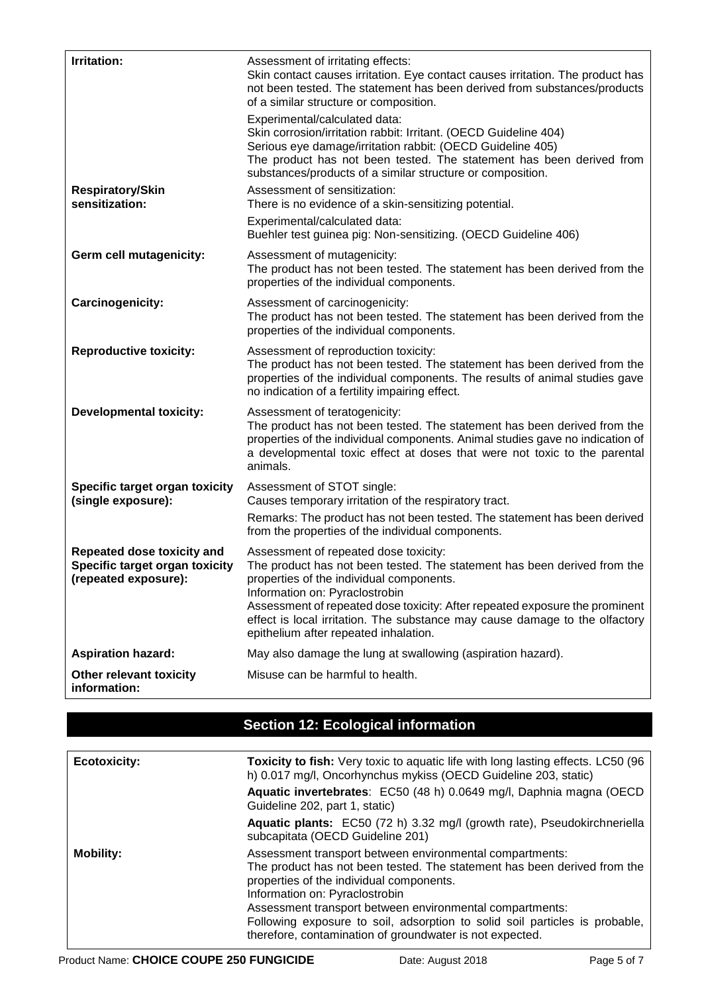| Irritation:                                                                          | Assessment of irritating effects:<br>Skin contact causes irritation. Eye contact causes irritation. The product has<br>not been tested. The statement has been derived from substances/products<br>of a similar structure or composition.                                                                                                                                                              |
|--------------------------------------------------------------------------------------|--------------------------------------------------------------------------------------------------------------------------------------------------------------------------------------------------------------------------------------------------------------------------------------------------------------------------------------------------------------------------------------------------------|
|                                                                                      | Experimental/calculated data:<br>Skin corrosion/irritation rabbit: Irritant. (OECD Guideline 404)<br>Serious eye damage/irritation rabbit: (OECD Guideline 405)<br>The product has not been tested. The statement has been derived from<br>substances/products of a similar structure or composition.                                                                                                  |
| <b>Respiratory/Skin</b><br>sensitization:                                            | Assessment of sensitization:<br>There is no evidence of a skin-sensitizing potential.                                                                                                                                                                                                                                                                                                                  |
|                                                                                      | Experimental/calculated data:<br>Buehler test guinea pig: Non-sensitizing. (OECD Guideline 406)                                                                                                                                                                                                                                                                                                        |
| Germ cell mutagenicity:                                                              | Assessment of mutagenicity:<br>The product has not been tested. The statement has been derived from the<br>properties of the individual components.                                                                                                                                                                                                                                                    |
| Carcinogenicity:                                                                     | Assessment of carcinogenicity:<br>The product has not been tested. The statement has been derived from the<br>properties of the individual components.                                                                                                                                                                                                                                                 |
| <b>Reproductive toxicity:</b>                                                        | Assessment of reproduction toxicity:<br>The product has not been tested. The statement has been derived from the<br>properties of the individual components. The results of animal studies gave<br>no indication of a fertility impairing effect.                                                                                                                                                      |
| <b>Developmental toxicity:</b>                                                       | Assessment of teratogenicity:<br>The product has not been tested. The statement has been derived from the<br>properties of the individual components. Animal studies gave no indication of<br>a developmental toxic effect at doses that were not toxic to the parental<br>animals.                                                                                                                    |
| Specific target organ toxicity<br>(single exposure):                                 | Assessment of STOT single:<br>Causes temporary irritation of the respiratory tract.<br>Remarks: The product has not been tested. The statement has been derived<br>from the properties of the individual components.                                                                                                                                                                                   |
| Repeated dose toxicity and<br>Specific target organ toxicity<br>(repeated exposure): | Assessment of repeated dose toxicity:<br>The product has not been tested. The statement has been derived from the<br>properties of the individual components.<br>Information on: Pyraclostrobin<br>Assessment of repeated dose toxicity: After repeated exposure the prominent<br>effect is local irritation. The substance may cause damage to the olfactory<br>epithelium after repeated inhalation. |
| <b>Aspiration hazard:</b>                                                            | May also damage the lung at swallowing (aspiration hazard).                                                                                                                                                                                                                                                                                                                                            |
| Other relevant toxicity<br>information:                                              | Misuse can be harmful to health.                                                                                                                                                                                                                                                                                                                                                                       |

# **Section 12: Ecological information**

| <b>Ecotoxicity:</b> | <b>Toxicity to fish:</b> Very toxic to aquatic life with long lasting effects. LC50 (96<br>h) 0.017 mg/l, Oncorhynchus mykiss (OECD Guideline 203, static)                                                                                                                                                                                                                                                                |
|---------------------|---------------------------------------------------------------------------------------------------------------------------------------------------------------------------------------------------------------------------------------------------------------------------------------------------------------------------------------------------------------------------------------------------------------------------|
|                     | Aquatic invertebrates: EC50 (48 h) 0.0649 mg/l, Daphnia magna (OECD<br>Guideline 202, part 1, static)                                                                                                                                                                                                                                                                                                                     |
|                     | Aquatic plants: EC50 (72 h) 3.32 mg/l (growth rate), Pseudokirchneriella<br>subcapitata (OECD Guideline 201)                                                                                                                                                                                                                                                                                                              |
| <b>Mobility:</b>    | Assessment transport between environmental compartments:<br>The product has not been tested. The statement has been derived from the<br>properties of the individual components.<br>Information on: Pyraclostrobin<br>Assessment transport between environmental compartments:<br>Following exposure to soil, adsorption to solid soil particles is probable,<br>therefore, contamination of groundwater is not expected. |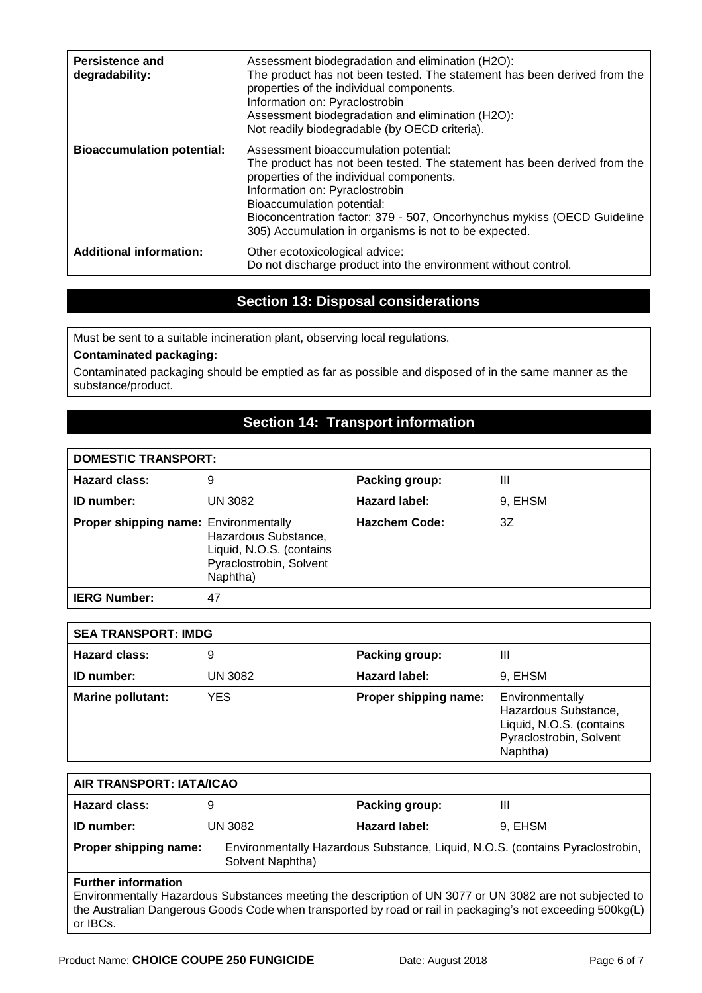| <b>Persistence and</b><br>degradability: | Assessment biodegradation and elimination (H2O):<br>The product has not been tested. The statement has been derived from the<br>properties of the individual components.<br>Information on: Pyraclostrobin<br>Assessment biodegradation and elimination (H2O):<br>Not readily biodegradable (by OECD criteria).                                                   |
|------------------------------------------|-------------------------------------------------------------------------------------------------------------------------------------------------------------------------------------------------------------------------------------------------------------------------------------------------------------------------------------------------------------------|
| <b>Bioaccumulation potential:</b>        | Assessment bioaccumulation potential:<br>The product has not been tested. The statement has been derived from the<br>properties of the individual components.<br>Information on: Pyraclostrobin<br>Bioaccumulation potential:<br>Bioconcentration factor: 379 - 507, Oncorhynchus mykiss (OECD Guideline<br>305) Accumulation in organisms is not to be expected. |
| <b>Additional information:</b>           | Other ecotoxicological advice:<br>Do not discharge product into the environment without control.                                                                                                                                                                                                                                                                  |

### **Section 13: Disposal considerations**

Must be sent to a suitable incineration plant, observing local regulations.

#### **Contaminated packaging:**

Contaminated packaging should be emptied as far as possible and disposed of in the same manner as the substance/product.

# **Section 14: Transport information**

| <b>DOMESTIC TRANSPORT:</b>                   |                                                                                         |                      |         |
|----------------------------------------------|-----------------------------------------------------------------------------------------|----------------------|---------|
| <b>Hazard class:</b>                         | 9                                                                                       | Packing group:       | Ш       |
| <b>ID</b> number:                            | UN 3082                                                                                 | Hazard label:        | 9, EHSM |
| <b>Proper shipping name: Environmentally</b> | Hazardous Substance,<br>Liquid, N.O.S. (contains<br>Pyraclostrobin, Solvent<br>Naphtha) | <b>Hazchem Code:</b> | 3Z      |
| <b>IERG Number:</b>                          | 47                                                                                      |                      |         |

| <b>SEA TRANSPORT: IMDG</b> |         |                       |                                                                                                            |
|----------------------------|---------|-----------------------|------------------------------------------------------------------------------------------------------------|
| <b>Hazard class:</b>       | 9       | Packing group:        | Ш                                                                                                          |
| <b>ID</b> number:          | UN 3082 | Hazard label:         | 9, EHSM                                                                                                    |
| <b>Marine pollutant:</b>   | YES.    | Proper shipping name: | Environmentally<br>Hazardous Substance,<br>Liquid, N.O.S. (contains<br>Pyraclostrobin, Solvent<br>Naphtha) |

| AIR TRANSPORT: IATA/ICAO                                                                                                                                                                                                                            |                  |                                                                               |         |  |
|-----------------------------------------------------------------------------------------------------------------------------------------------------------------------------------------------------------------------------------------------------|------------------|-------------------------------------------------------------------------------|---------|--|
| <b>Hazard class:</b>                                                                                                                                                                                                                                | 9                | Packing group:                                                                | Ш       |  |
| <b>ID</b> number:                                                                                                                                                                                                                                   | UN 3082          | <b>Hazard label:</b>                                                          | 9, EHSM |  |
| Proper shipping name:                                                                                                                                                                                                                               | Solvent Naphtha) | Environmentally Hazardous Substance, Liquid, N.O.S. (contains Pyraclostrobin, |         |  |
| <b>Further information</b><br>Environmentally Hazardous Substances meeting the description of UN 3077 or UN 3082 are not subjected to<br>the Australian Dangerous Goods Code when transported by road or rail in packaging's not exceeding 500kg(L) |                  |                                                                               |         |  |

or IBCs.